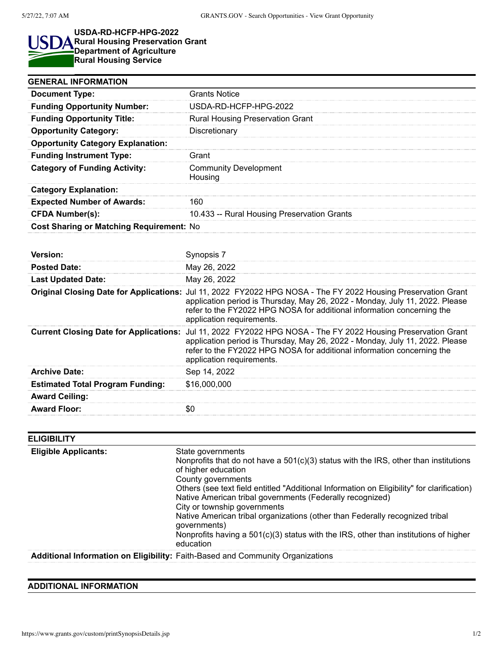I

## **USDA-RD-HCFP-HPG-2022** S **Rural Housing Preservation Grant Department of Agriculture Rural Housing Service**

| <b>GENERAL INFORMATION</b>                    |                                                                                                                                                                                                                                                                                                      |
|-----------------------------------------------|------------------------------------------------------------------------------------------------------------------------------------------------------------------------------------------------------------------------------------------------------------------------------------------------------|
| <b>Document Type:</b>                         | <b>Grants Notice</b>                                                                                                                                                                                                                                                                                 |
| <b>Funding Opportunity Number:</b>            | USDA-RD-HCFP-HPG-2022                                                                                                                                                                                                                                                                                |
| <b>Funding Opportunity Title:</b>             | <b>Rural Housing Preservation Grant</b>                                                                                                                                                                                                                                                              |
| <b>Opportunity Category:</b>                  | Discretionary                                                                                                                                                                                                                                                                                        |
| <b>Opportunity Category Explanation:</b>      |                                                                                                                                                                                                                                                                                                      |
| <b>Funding Instrument Type:</b>               | Grant                                                                                                                                                                                                                                                                                                |
| <b>Category of Funding Activity:</b>          | <b>Community Development</b><br>Housing                                                                                                                                                                                                                                                              |
| <b>Category Explanation:</b>                  |                                                                                                                                                                                                                                                                                                      |
| <b>Expected Number of Awards:</b>             | 160                                                                                                                                                                                                                                                                                                  |
| <b>CFDA Number(s):</b>                        | 10.433 -- Rural Housing Preservation Grants                                                                                                                                                                                                                                                          |
| Cost Sharing or Matching Requirement: No      |                                                                                                                                                                                                                                                                                                      |
|                                               |                                                                                                                                                                                                                                                                                                      |
| Version:                                      | Synopsis 7                                                                                                                                                                                                                                                                                           |
| <b>Posted Date:</b>                           | May 26, 2022                                                                                                                                                                                                                                                                                         |
| <b>Last Updated Date:</b>                     | May 26, 2022                                                                                                                                                                                                                                                                                         |
|                                               | Original Closing Date for Applications: Jul 11, 2022 FY2022 HPG NOSA - The FY 2022 Housing Preservation Grant<br>application period is Thursday, May 26, 2022 - Monday, July 11, 2022. Please<br>refer to the FY2022 HPG NOSA for additional information concerning the<br>application requirements. |
| <b>Current Closing Date for Applications:</b> | Jul 11, 2022 FY2022 HPG NOSA - The FY 2022 Housing Preservation Grant<br>application period is Thursday, May 26, 2022 - Monday, July 11, 2022. Please<br>refer to the FY2022 HPG NOSA for additional information concerning the<br>application requirements.                                         |
| <b>Archive Date:</b>                          | Sep 14, 2022                                                                                                                                                                                                                                                                                         |
| <b>Estimated Total Program Funding:</b>       | \$16,000,000                                                                                                                                                                                                                                                                                         |
|                                               |                                                                                                                                                                                                                                                                                                      |
| <b>Award Ceiling:</b>                         |                                                                                                                                                                                                                                                                                                      |

| <b>ELIGIBILITY</b>          |                                                                                                                                                                                                                                                                                                                                                                                                                                                                                                                                                            |
|-----------------------------|------------------------------------------------------------------------------------------------------------------------------------------------------------------------------------------------------------------------------------------------------------------------------------------------------------------------------------------------------------------------------------------------------------------------------------------------------------------------------------------------------------------------------------------------------------|
| <b>Eligible Applicants:</b> | State governments<br>Nonprofits that do not have a $501(c)(3)$ status with the IRS, other than institutions<br>of higher education<br>County governments<br>Others (see text field entitled "Additional Information on Eligibility" for clarification)<br>Native American tribal governments (Federally recognized)<br>City or township governments<br>Native American tribal organizations (other than Federally recognized tribal<br>qovernments)<br>Nonprofits having a $501(c)(3)$ status with the IRS, other than institutions of higher<br>education |
|                             | Additional Information on Eligibility: Faith-Based and Community Organizations                                                                                                                                                                                                                                                                                                                                                                                                                                                                             |

## **ADDITIONAL INFORMATION**